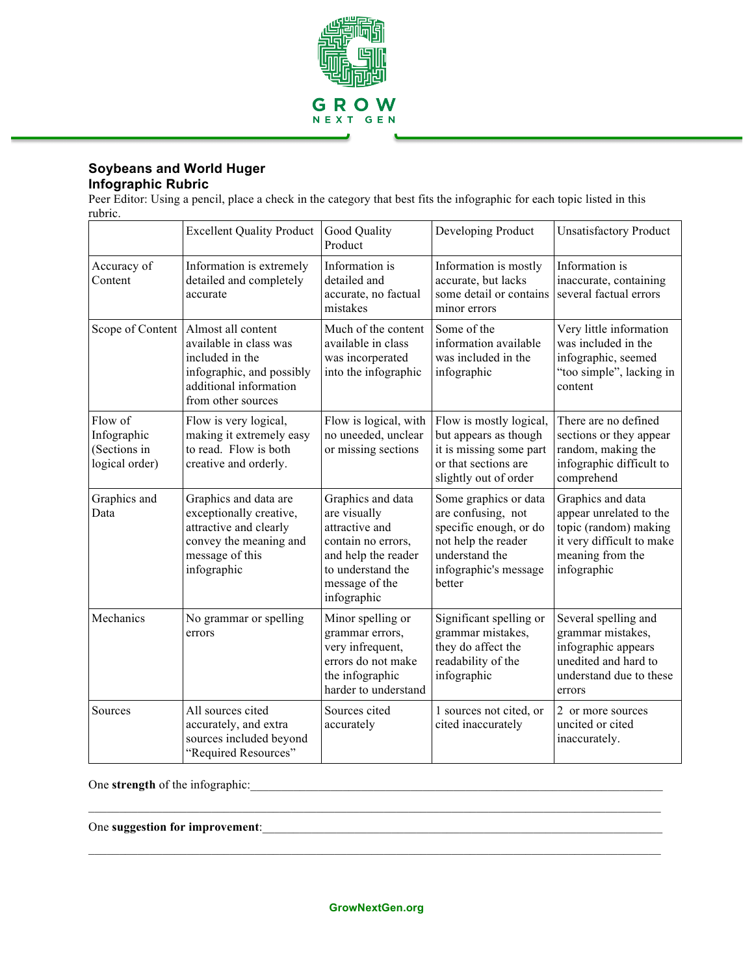

## **Soybeans and World Huger Infographic Rubric**

Peer Editor: Using a pencil, place a check in the category that best fits the infographic for each topic listed in this rubric.

|                                                          | <b>Excellent Quality Product</b>                                                                                                             | Good Quality<br>Product                                                                                                                                | Developing Product                                                                                                                                | <b>Unsatisfactory Product</b>                                                                                                         |
|----------------------------------------------------------|----------------------------------------------------------------------------------------------------------------------------------------------|--------------------------------------------------------------------------------------------------------------------------------------------------------|---------------------------------------------------------------------------------------------------------------------------------------------------|---------------------------------------------------------------------------------------------------------------------------------------|
| Accuracy of<br>Content                                   | Information is extremely<br>detailed and completely<br>accurate                                                                              | Information is<br>detailed and<br>accurate, no factual<br>mistakes                                                                                     | Information is mostly<br>accurate, but lacks<br>some detail or contains<br>minor errors                                                           | Information is<br>inaccurate, containing<br>several factual errors                                                                    |
| Scope of Content                                         | Almost all content<br>available in class was<br>included in the<br>infographic, and possibly<br>additional information<br>from other sources | Much of the content<br>available in class<br>was incorperated<br>into the infographic                                                                  | Some of the<br>information available<br>was included in the<br>infographic                                                                        | Very little information<br>was included in the<br>infographic, seemed<br>"too simple", lacking in<br>content                          |
| Flow of<br>Infographic<br>(Sections in<br>logical order) | Flow is very logical,<br>making it extremely easy<br>to read. Flow is both<br>creative and orderly.                                          | Flow is logical, with<br>no uneeded, unclear<br>or missing sections                                                                                    | Flow is mostly logical,<br>but appears as though<br>it is missing some part<br>or that sections are<br>slightly out of order                      | There are no defined<br>sections or they appear<br>random, making the<br>infographic difficult to<br>comprehend                       |
| Graphics and<br>Data                                     | Graphics and data are<br>exceptionally creative,<br>attractive and clearly<br>convey the meaning and<br>message of this<br>infographic       | Graphics and data<br>are visually<br>attractive and<br>contain no errors,<br>and help the reader<br>to understand the<br>message of the<br>infographic | Some graphics or data<br>are confusing, not<br>specific enough, or do<br>not help the reader<br>understand the<br>infographic's message<br>better | Graphics and data<br>appear unrelated to the<br>topic (random) making<br>it very difficult to make<br>meaning from the<br>infographic |
| Mechanics                                                | No grammar or spelling<br>errors                                                                                                             | Minor spelling or<br>grammar errors,<br>very infrequent,<br>errors do not make<br>the infographic<br>harder to understand                              | Significant spelling or<br>grammar mistakes,<br>they do affect the<br>readability of the<br>infographic                                           | Several spelling and<br>grammar mistakes,<br>infographic appears<br>unedited and hard to<br>understand due to these<br>errors         |
| Sources                                                  | All sources cited<br>accurately, and extra<br>sources included beyond<br>"Required Resources"                                                | Sources cited<br>accurately                                                                                                                            | 1 sources not cited, or<br>cited inaccurately                                                                                                     | 2 or more sources<br>uncited or cited<br>inaccurately.                                                                                |

One **strength** of the infographic:\_\_\_\_\_\_\_\_\_\_\_\_\_\_\_\_\_\_\_\_\_\_\_\_\_\_\_\_\_\_\_\_\_\_\_\_\_\_\_\_\_\_\_\_\_\_\_\_\_\_\_\_\_\_\_\_\_\_\_\_\_\_\_\_\_\_\_

One suggestion for improvement:

 $\mathcal{L}_\mathcal{L} = \mathcal{L}_\mathcal{L}$ 

 $\mathcal{L}_\mathcal{L} = \mathcal{L}_\mathcal{L}$